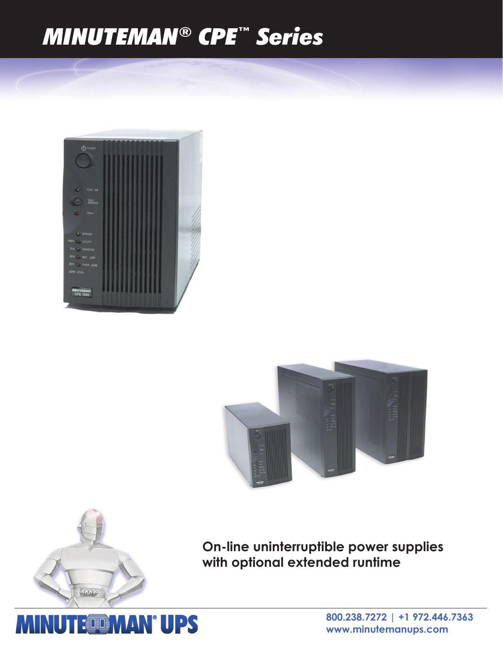# *MINUTEMAN® CPE™ Series*





**On-line uninterruptible power supplies with optional extended runtime**



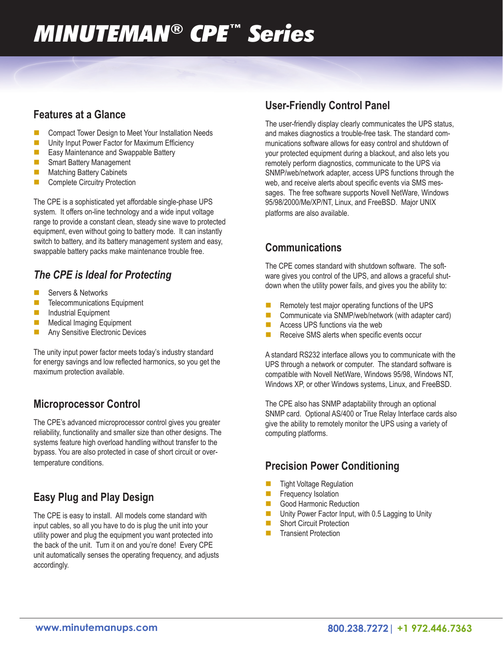# *MINUTEMAN® CPE™ Series*

### **Features at a Glance**

- **EXECOMPACT TOWER Design to Meet Your Installation Needs**
- **Unity Input Power Factor for Maximum Efficiency**
- **Easy Maintenance and Swappable Battery**
- **Smart Battery Management**
- **Matching Battery Cabinets**
- **Complete Circuitry Protection**

The CPE is a sophisticated yet affordable single-phase UPS system. It offers on-line technology and a wide input voltage range to provide a constant clean, steady sine wave to protected equipment, even without going to battery mode. It can instantly switch to battery, and its battery management system and easy, swappable battery packs make maintenance trouble free.

## *The CPE is Ideal for Protecting*

- Servers & Networks
- **Telecommunications Equipment**
- **Industrial Equipment**
- **Medical Imaging Equipment**
- **Any Sensitive Electronic Devices**

The unity input power factor meets today's industry standard for energy savings and low reflected harmonics, so you get the maximum protection available.

### **Microprocessor Control**

The CPE's advanced microprocessor control gives you greater reliability, functionality and smaller size than other designs. The systems feature high overload handling without transfer to the bypass. You are also protected in case of short circuit or overtemperature conditions.

## **Easy Plug and Play Design**

The CPE is easy to install. All models come standard with input cables, so all you have to do is plug the unit into your utility power and plug the equipment you want protected into the back of the unit. Turn it on and you're done! Every CPE unit automatically senses the operating frequency, and adjusts accordingly.

### **User-Friendly Control Panel**

The user-friendly display clearly communicates the UPS status, and makes diagnostics a trouble-free task. The standard communications software allows for easy control and shutdown of your protected equipment during a blackout, and also lets you remotely perform diagnostics, communicate to the UPS via SNMP/web/network adapter, access UPS functions through the web, and receive alerts about specific events via SMS messages. The free software supports Novell NetWare, Windows 95/98/2000/Me/XP/NT, Linux, and FreeBSD. Major UNIX platforms are also available.

## **Communications**

The CPE comes standard with shutdown software. The software gives you control of the UPS, and allows a graceful shutdown when the utility power fails, and gives you the ability to:

- Remotely test major operating functions of the UPS
- **Communicate via SNMP/web/network (with adapter card)**
- **Access UPS functions via the web**
- Receive SMS alerts when specific events occur

A standard RS232 interface allows you to communicate with the UPS through a network or computer. The standard software is compatible with Novell NetWare, Windows 95/98, Windows NT, Windows XP, or other Windows systems, Linux, and FreeBSD.

The CPE also has SNMP adaptability through an optional SNMP card. Optional AS/400 or True Relay Interface cards also give the ability to remotely monitor the UPS using a variety of computing platforms.

#### **Precision Power Conditioning**

- Tight Voltage Regulation
- Frequency Isolation
- Good Harmonic Reduction
- **Unity Power Factor Input, with 0.5 Lagging to Unity**
- **Short Circuit Protection**
- **Transient Protection**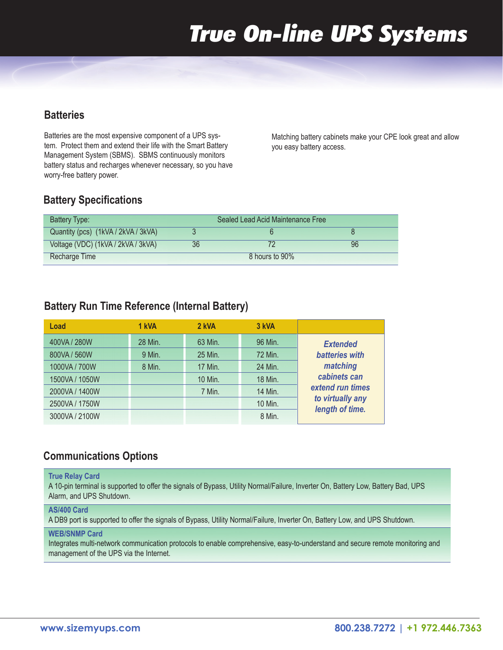# **True On-line UPS Systems**

### **Batteries**

Batteries are the most expensive component of a UPS system. Protect them and extend their life with the Smart Battery Management System (SBMS). SBMS continuously monitors battery status and recharges whenever necessary, so you have worry-free battery power.

Matching battery cabinets make your CPE look great and allow you easy battery access.

## **Battery Specifications**

| Battery Type:                       | Sealed Lead Acid Maintenance Free |  |    |  |
|-------------------------------------|-----------------------------------|--|----|--|
| Quantity (pcs) (1kVA / 2kVA / 3kVA) |                                   |  |    |  |
| Voltage (VDC) (1kVA / 2kVA / 3kVA)  | 36                                |  | 96 |  |
| Recharge Time                       | 8 hours to 90%                    |  |    |  |

### **Battery Run Time Reference (Internal Battery)**

| Load           | 1 kVA   | 2 kVA   | 3 kVA   |                                     |
|----------------|---------|---------|---------|-------------------------------------|
| 400VA / 280W   | 28 Min. | 63 Min. | 96 Min. | <b>Extended</b>                     |
| 800VA / 560W   | 9 Min.  | 25 Min. | 72 Min. | batteries with                      |
| 1000VA / 700W  | 8 Min.  | 17 Min. | 24 Min. | matching                            |
| 1500VA / 1050W |         | 10 Min. | 18 Min. | cabinets can                        |
| 2000VA / 1400W |         | 7 Min.  | 14 Min. | extend run times                    |
| 2500VA / 1750W |         |         | 10 Min. | to virtually any<br>length of time. |
| 3000VA / 2100W |         |         | 8 Min.  |                                     |

### **Communications Options**

#### **True Relay Card**

A 10-pin terminal is supported to offer the signals of Bypass, Utility Normal/Failure, Inverter On, Battery Low, Battery Bad, UPS Alarm, and UPS Shutdown.

#### **AS/400 Card**

A DB9 port is supported to offer the signals of Bypass, Utility Normal/Failure, Inverter On, Battery Low, and UPS Shutdown.

#### **WEB/SNMP Card**

Integrates multi-network communication protocols to enable comprehensive, easy-to-understand and secure remote monitoring and management of the UPS via the Internet.